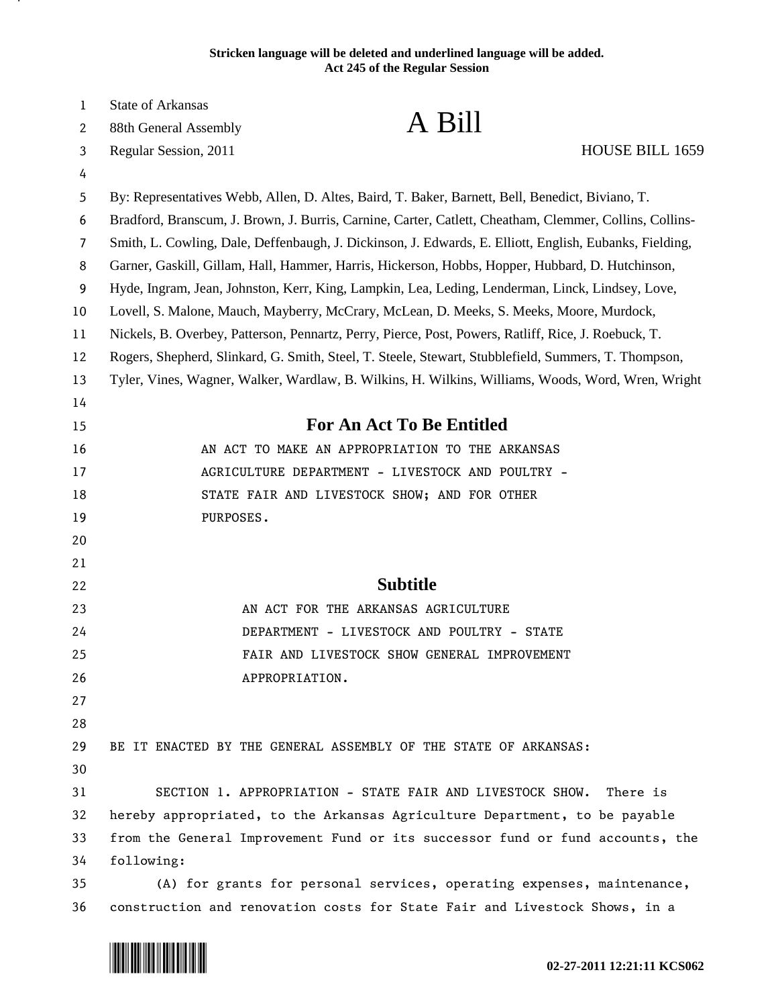## **Stricken language will be deleted and underlined language will be added. Act 245 of the Regular Session**

| 1              | State of Arkansas                                                                                       |  |
|----------------|---------------------------------------------------------------------------------------------------------|--|
| 2              | A Bill<br>88th General Assembly                                                                         |  |
| 3              | HOUSE BILL 1659<br>Regular Session, 2011                                                                |  |
| 4              |                                                                                                         |  |
| 5              | By: Representatives Webb, Allen, D. Altes, Baird, T. Baker, Barnett, Bell, Benedict, Biviano, T.        |  |
| 6              | Bradford, Branscum, J. Brown, J. Burris, Carnine, Carter, Catlett, Cheatham, Clemmer, Collins, Collins- |  |
| $\overline{7}$ | Smith, L. Cowling, Dale, Deffenbaugh, J. Dickinson, J. Edwards, E. Elliott, English, Eubanks, Fielding, |  |
| 8              | Garner, Gaskill, Gillam, Hall, Hammer, Harris, Hickerson, Hobbs, Hopper, Hubbard, D. Hutchinson,        |  |
| 9              | Hyde, Ingram, Jean, Johnston, Kerr, King, Lampkin, Lea, Leding, Lenderman, Linck, Lindsey, Love,        |  |
| 10             | Lovell, S. Malone, Mauch, Mayberry, McCrary, McLean, D. Meeks, S. Meeks, Moore, Murdock,                |  |
| 11             | Nickels, B. Overbey, Patterson, Pennartz, Perry, Pierce, Post, Powers, Ratliff, Rice, J. Roebuck, T.    |  |
| 12             | Rogers, Shepherd, Slinkard, G. Smith, Steel, T. Steele, Stewart, Stubblefield, Summers, T. Thompson,    |  |
| 13             | Tyler, Vines, Wagner, Walker, Wardlaw, B. Wilkins, H. Wilkins, Williams, Woods, Word, Wren, Wright      |  |
| 14             |                                                                                                         |  |
| 15             | <b>For An Act To Be Entitled</b>                                                                        |  |
| 16             | AN ACT TO MAKE AN APPROPRIATION TO THE ARKANSAS                                                         |  |
| 17             | AGRICULTURE DEPARTMENT - LIVESTOCK AND POULTRY -                                                        |  |
| 18             | STATE FAIR AND LIVESTOCK SHOW; AND FOR OTHER                                                            |  |
| 19             | PURPOSES.                                                                                               |  |
| 20             |                                                                                                         |  |
| 21             |                                                                                                         |  |
| 22             | <b>Subtitle</b>                                                                                         |  |
| 23             | AN ACT FOR THE ARKANSAS AGRICULTURE                                                                     |  |
| 24             | DEPARTMENT - LIVESTOCK AND POULTRY - STATE                                                              |  |
| 25             | FAIR AND LIVESTOCK SHOW GENERAL IMPROVEMENT                                                             |  |
| 26             | APPROPRIATION.                                                                                          |  |
| 27             |                                                                                                         |  |
| 28             |                                                                                                         |  |
| 29             | BE IT ENACTED BY THE GENERAL ASSEMBLY OF THE STATE OF ARKANSAS:                                         |  |
| 30             |                                                                                                         |  |
| 31             | SECTION 1. APPROPRIATION - STATE FAIR AND LIVESTOCK SHOW.<br>There is                                   |  |
| 32             | hereby appropriated, to the Arkansas Agriculture Department, to be payable                              |  |
| 33             | from the General Improvement Fund or its successor fund or fund accounts, the                           |  |
| 34             | following:                                                                                              |  |
| 35             | (A) for grants for personal services, operating expenses, maintenance,                                  |  |
| 36             | construction and renovation costs for State Fair and Livestock Shows, in a                              |  |

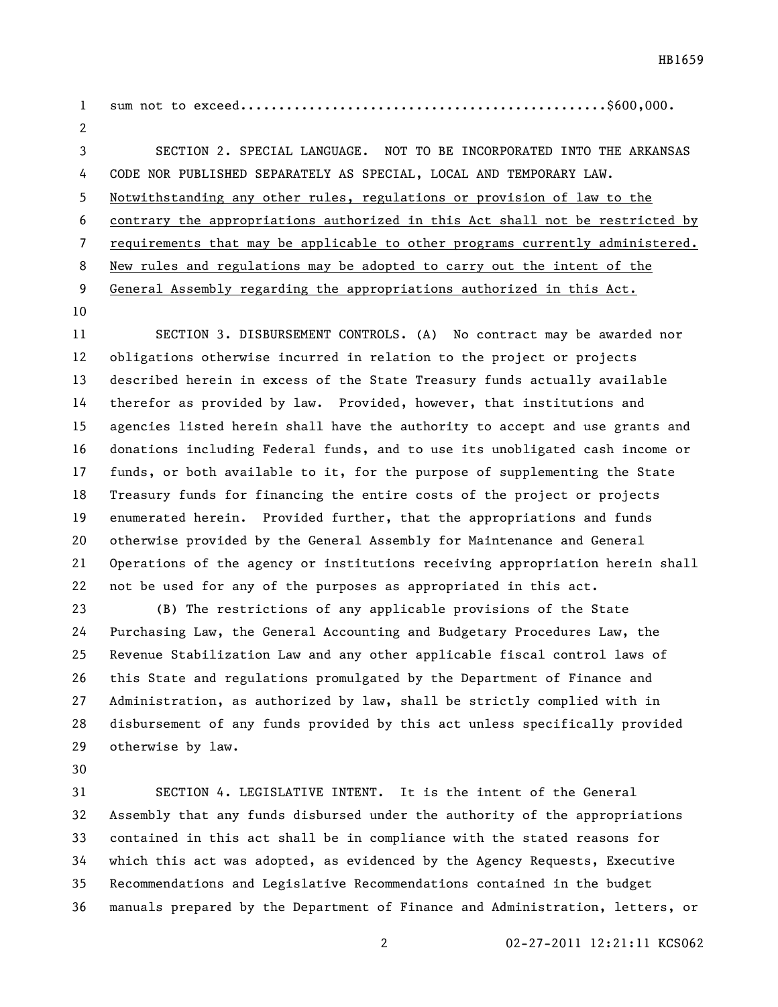sum not to exceed................................................\$600,000. SECTION 2. SPECIAL LANGUAGE. NOT TO BE INCORPORATED INTO THE ARKANSAS CODE NOR PUBLISHED SEPARATELY AS SPECIAL, LOCAL AND TEMPORARY LAW. Notwithstanding any other rules, regulations or provision of law to the contrary the appropriations authorized in this Act shall not be restricted by requirements that may be applicable to other programs currently administered. New rules and regulations may be adopted to carry out the intent of the General Assembly regarding the appropriations authorized in this Act.

 SECTION 3. DISBURSEMENT CONTROLS. (A) No contract may be awarded nor obligations otherwise incurred in relation to the project or projects described herein in excess of the State Treasury funds actually available therefor as provided by law. Provided, however, that institutions and agencies listed herein shall have the authority to accept and use grants and donations including Federal funds, and to use its unobligated cash income or funds, or both available to it, for the purpose of supplementing the State Treasury funds for financing the entire costs of the project or projects enumerated herein. Provided further, that the appropriations and funds otherwise provided by the General Assembly for Maintenance and General Operations of the agency or institutions receiving appropriation herein shall not be used for any of the purposes as appropriated in this act.

 (B) The restrictions of any applicable provisions of the State Purchasing Law, the General Accounting and Budgetary Procedures Law, the Revenue Stabilization Law and any other applicable fiscal control laws of this State and regulations promulgated by the Department of Finance and Administration, as authorized by law, shall be strictly complied with in disbursement of any funds provided by this act unless specifically provided otherwise by law.

 SECTION 4. LEGISLATIVE INTENT. It is the intent of the General Assembly that any funds disbursed under the authority of the appropriations contained in this act shall be in compliance with the stated reasons for which this act was adopted, as evidenced by the Agency Requests, Executive Recommendations and Legislative Recommendations contained in the budget manuals prepared by the Department of Finance and Administration, letters, or